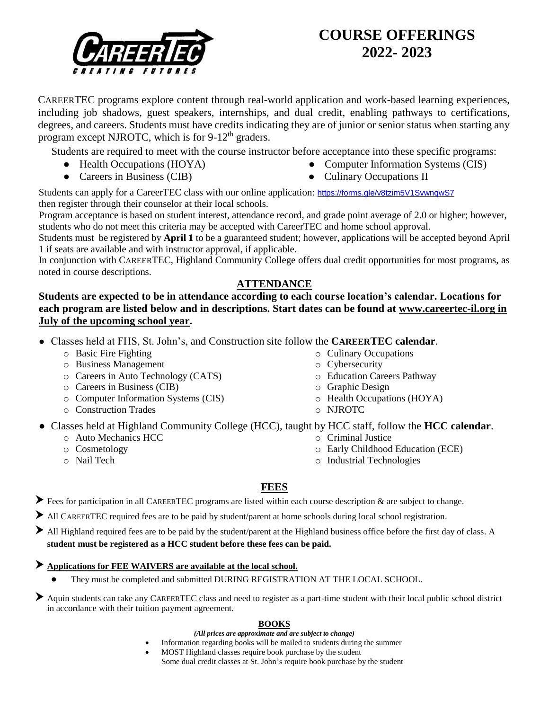

# **COURSE OFFERINGS 2022- 2023**

CAREERTEC programs explore content through real-world application and work-based learning experiences, including job shadows, guest speakers, internships, and dual credit, enabling pathways to certifications, degrees, and careers. Students must have credits indicating they are of junior or senior status when starting any program except NJROTC, which is for 9-12<sup>th</sup> graders.

Students are required to meet with the course instructor before acceptance into these specific programs:

- Health Occupations (HOYA)
- Careers in Business (CIB)
- Computer Information Systems (CIS)
- Culinary Occupations II

Students can apply for a CareerTEC class with our online application: <https://forms.gle/v8tzim5V1SvwnqwS7> then register through their counselor at their local schools.

Program acceptance is based on student interest, attendance record, and grade point average of 2.0 or higher; however, students who do not meet this criteria may be accepted with CareerTEC and home school approval.

Students must be registered by **April 1** to be a guaranteed student; however, applications will be accepted beyond April 1 if seats are available and with instructor approval, if applicable.

In conjunction with CAREERTEC, Highland Community College offers dual credit opportunities for most programs, as noted in course descriptions.

## **ATTENDANCE**

**Students are expected to be in attendance according to each course location's calendar. Locations for each program are listed below and in descriptions. Start dates can be found at [www.careertec-il.org](http://www.careertec-il.org/) in July of the upcoming school year.** 

- Classes held at FHS, St. John's, and Construction site follow the **CAREERTEC calendar**.
	- o Basic Fire Fighting
	- o Business Management
	- o Careers in Auto Technology (CATS)
	- o Careers in Business (CIB)
	- o Computer Information Systems (CIS)
	- o Construction Trades
- Classes held at Highland Community College (HCC), taught by HCC staff, follow the **HCC calendar**.
	- o Auto Mechanics HCC
	- o Cosmetology
	- o Nail Tech

o Cybersecurity o Education Careers Pathway

o Culinary Occupations

- o Graphic Design
- o Health Occupations (HOYA)
- o NJROTC

- o Criminal Justice
	- o Early Childhood Education (ECE)
	- o Industrial Technologies

## **FEES**

 $\blacktriangleright$  Fees for participation in all CAREERTEC programs are listed within each course description  $\&$  are subject to change.

- ⮞ All CAREERTEC required fees are to be paid by student/parent at home schools during local school registration.
- All Highland required fees are to be paid by the student/parent at the Highland business office before the first day of class. A **student must be registered as a HCC student before these fees can be paid.**

## ⮞ **Applications for FEE WAIVERS are available at the local school.**

They must be completed and submitted DURING REGISTRATION AT THE LOCAL SCHOOL.

Aquin students can take any CAREERTEC class and need to register as a part-time student with their local public school district in accordance with their tuition payment agreement.

### **BOOKS**

- *(All prices are approximate and are subject to change)*
- Information regarding books will be mailed to students during the summer
	- MOST Highland classes require book purchase by the student Some dual credit classes at St. John's require book purchase by the student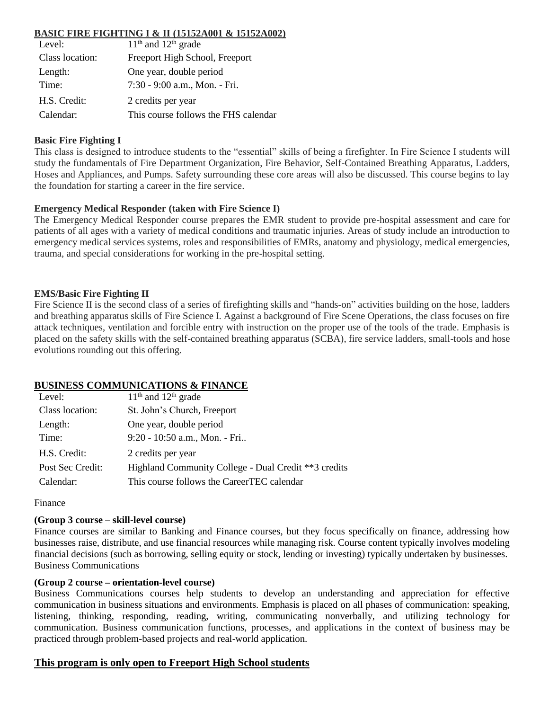### **BASIC FIRE FIGHTING I & II (15152A001 & 15152A002)**

| Level:          | $11th$ and $12th$ grade              |
|-----------------|--------------------------------------|
| Class location: | Freeport High School, Freeport       |
| Length:         | One year, double period              |
| Time:           | 7:30 - 9:00 a.m., Mon. - Fri.        |
| H.S. Credit:    | 2 credits per year                   |
| Calendar:       | This course follows the FHS calendar |

### **Basic Fire Fighting I**

This class is designed to introduce students to the "essential" skills of being a firefighter. In Fire Science I students will study the fundamentals of Fire Department Organization, Fire Behavior, Self-Contained Breathing Apparatus, Ladders, Hoses and Appliances, and Pumps. Safety surrounding these core areas will also be discussed. This course begins to lay the foundation for starting a career in the fire service.

### **Emergency Medical Responder (taken with Fire Science I)**

The Emergency Medical Responder course prepares the EMR student to provide pre-hospital assessment and care for patients of all ages with a variety of medical conditions and traumatic injuries. Areas of study include an introduction to emergency medical services systems, roles and responsibilities of EMRs, anatomy and physiology, medical emergencies, trauma, and special considerations for working in the pre-hospital setting.

### **EMS/Basic Fire Fighting II**

Fire Science II is the second class of a series of firefighting skills and "hands-on" activities building on the hose, ladders and breathing apparatus skills of Fire Science I. Against a background of Fire Scene Operations, the class focuses on fire attack techniques, ventilation and forcible entry with instruction on the proper use of the tools of the trade. Emphasis is placed on the safety skills with the self-contained breathing apparatus (SCBA), fire service ladders, small-tools and hose evolutions rounding out this offering.

### **BUSINESS COMMUNICATIONS & FINANCE**

| Level:           | $11th$ and $12th$ grade                              |
|------------------|------------------------------------------------------|
| Class location:  | St. John's Church, Freeport                          |
| Length:          | One year, double period                              |
| Time:            | 9:20 - 10:50 a.m., Mon. - Fri                        |
| H.S. Credit:     | 2 credits per year                                   |
| Post Sec Credit: | Highland Community College - Dual Credit **3 credits |
| Calendar:        | This course follows the CareerTEC calendar           |

#### Finance

#### **(Group 3 course – skill-level course)**

Finance courses are similar to Banking and Finance courses, but they focus specifically on finance, addressing how businesses raise, distribute, and use financial resources while managing risk. Course content typically involves modeling financial decisions (such as borrowing, selling equity or stock, lending or investing) typically undertaken by businesses. Business Communications

### **(Group 2 course – orientation-level course)**

Business Communications courses help students to develop an understanding and appreciation for effective communication in business situations and environments. Emphasis is placed on all phases of communication: speaking, listening, thinking, responding, reading, writing, communicating nonverbally, and utilizing technology for communication. Business communication functions, processes, and applications in the context of business may be practiced through problem-based projects and real-world application.

### **This program is only open to Freeport High School students**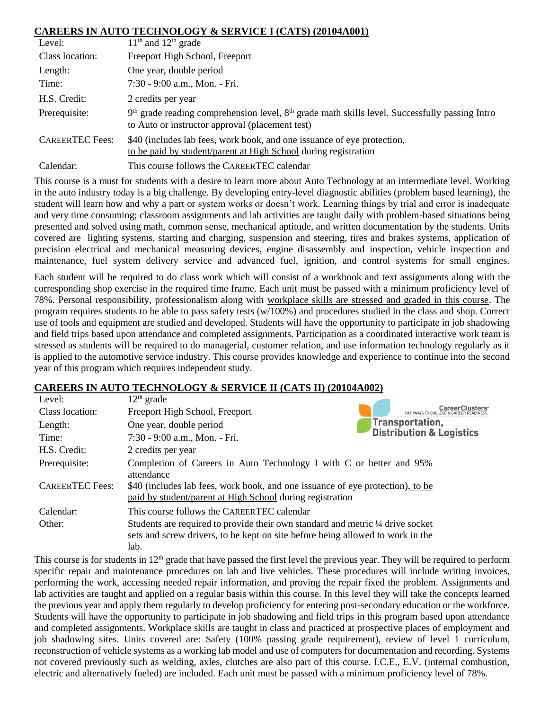### **CAREERS IN AUTO TECHNOLOGY & SERVICE I (CATS) (20104A001)**

| Level:                 | $11th$ and $12th$ grade                                                                                                                               |
|------------------------|-------------------------------------------------------------------------------------------------------------------------------------------------------|
| Class location:        | Freeport High School, Freeport                                                                                                                        |
| Length:                | One year, double period                                                                                                                               |
| Time:                  | 7:30 - 9:00 a.m., Mon. - Fri.                                                                                                                         |
| H.S. Credit:           | 2 credits per year                                                                                                                                    |
| Prerequisite:          | $9th$ grade reading comprehension level, $8th$ grade math skills level. Successfully passing Intro<br>to Auto or instructor approval (placement test) |
| <b>CAREERTEC</b> Fees: | \$40 (includes lab fees, work book, and one issuance of eye protection,<br>to be paid by student/parent at High School during registration            |
| Calendar:              | This course follows the CAREERTEC calendar                                                                                                            |

This course is a must for students with a desire to learn more about Auto Technology at an intermediate level. Working in the auto industry today is a big challenge. By developing entry-level diagnostic abilities (problem based learning), the student will learn how and why a part or system works or doesn't work. Learning things by trial and error is inadequate and very time consuming; classroom assignments and lab activities are taught daily with problem-based situations being presented and solved using math, common sense, mechanical aptitude, and written documentation by the students. Units covered are lighting systems, starting and charging, suspension and steering, tires and brakes systems, application of precision electrical and mechanical measuring devices, engine disassembly and inspection, vehicle inspection and maintenance, fuel system delivery service and advanced fuel, ignition, and control systems for small engines.

Each student will be required to do class work which will consist of a workbook and text assignments along with the corresponding shop exercise in the required time frame. Each unit must be passed with a minimum proficiency level of 78%. Personal responsibility, professionalism along with workplace skills are stressed and graded in this course. The program requires students to be able to pass safety tests (w/100%) and procedures studied in the class and shop. Correct use of tools and equipment are studied and developed. Students will have the opportunity to participate in job shadowing and field trips based upon attendance and completed assignments. Participation as a coordinated interactive work team is stressed as students will be required to do managerial, customer relation, and use information technology regularly as it is applied to the automotive service industry. This course provides knowledge and experience to continue into the second year of this program which requires independent study.

### **CAREERS IN AUTO TECHNOLOGY & SERVICE II (CATS II) (20104A002)**

| Level:                 | $12th$ grade                                                                    |                                                    |
|------------------------|---------------------------------------------------------------------------------|----------------------------------------------------|
| Class location:        | Freeport High School, Freeport                                                  | CareerClusters <sup>®</sup><br>PATHWAYS TO COLLEGE |
| Length:                | One year, double period                                                         | Transportation,                                    |
| Time:                  | 7:30 - 9:00 a.m., Mon. - Fri.                                                   | <b>Distribution &amp; Logistics</b>                |
| H.S. Credit:           | 2 credits per year                                                              |                                                    |
| Prerequisite:          | Completion of Careers in Auto Technology I with C or better and 95%             |                                                    |
|                        | attendance                                                                      |                                                    |
| <b>CAREERTEC</b> Fees: | \$40 (includes lab fees, work book, and one issuance of eye protection), to be  |                                                    |
|                        | paid by student/parent at High School during registration                       |                                                    |
| Calendar:              | This course follows the CAREERTEC calendar                                      |                                                    |
| Other:                 | Students are required to provide their own standard and metric 1/4 drive socket |                                                    |
|                        | sets and screw drivers, to be kept on site before being allowed to work in the  |                                                    |
|                        | lab.                                                                            |                                                    |

This course is for students in  $12<sup>th</sup>$  grade that have passed the first level the previous year. They will be required to perform specific repair and maintenance procedures on lab and live vehicles. These procedures will include writing invoices, performing the work, accessing needed repair information, and proving the repair fixed the problem. Assignments and lab activities are taught and applied on a regular basis within this course. In this level they will take the concepts learned the previous year and apply them regularly to develop proficiency for entering post-secondary education or the workforce. Students will have the opportunity to participate in job shadowing and field trips in this program based upon attendance and completed assignments. Workplace skills are taught in class and practiced at prospective places of employment and job shadowing sites. Units covered are: Safety (100% passing grade requirement), review of level 1 curriculum, reconstruction of vehicle systems as a working lab model and use of computers for documentation and recording. Systems not covered previously such as welding, axles, clutches are also part of this course. I.C.E., E.V. (internal combustion, electric and alternatively fueled) are included. Each unit must be passed with a minimum proficiency level of 78%.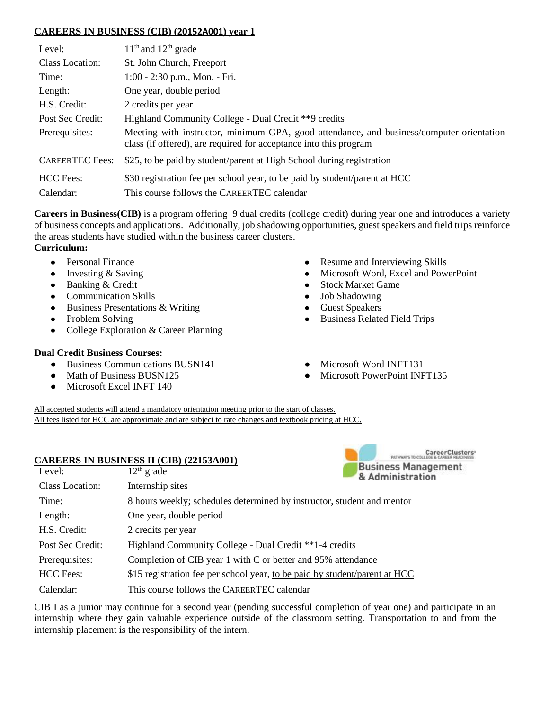### **CAREERS IN BUSINESS (CIB) (20152A001) year 1**

| Level:                 | $11th$ and $12th$ grade                                                                                                                                       |
|------------------------|---------------------------------------------------------------------------------------------------------------------------------------------------------------|
| Class Location:        | St. John Church, Freeport                                                                                                                                     |
| Time:                  | 1:00 - 2:30 p.m., Mon. - Fri.                                                                                                                                 |
| Length:                | One year, double period                                                                                                                                       |
| H.S. Credit:           | 2 credits per year                                                                                                                                            |
| Post Sec Credit:       | Highland Community College - Dual Credit **9 credits                                                                                                          |
| Prerequisites:         | Meeting with instructor, minimum GPA, good attendance, and business/computer-orientation<br>class (if offered), are required for acceptance into this program |
| <b>CAREERTEC</b> Fees: | \$25, to be paid by student/parent at High School during registration                                                                                         |
| <b>HCC</b> Fees:       | \$30 registration fee per school year, to be paid by student/parent at HCC                                                                                    |
| Calendar:              | This course follows the CAREERTEC calendar                                                                                                                    |

**Careers in Business(CIB)** is a program offering 9 dual credits (college credit) during year one and introduces a variety of business concepts and applications. Additionally, job shadowing opportunities, guest speakers and field trips reinforce the areas students have studied within the business career clusters.

- **Curriculum:**
	- Personal Finance
	- Investing & Saving
	- Banking & Credit
	- Communication Skills
	- Business Presentations & Writing
	- Problem Solving
	- College Exploration & Career Planning

### **Dual Credit Business Courses:**

- Business Communications BUSN141
- Math of Business BUSN125
- Microsoft Excel INFT 140
- Resume and Interviewing Skills
- Microsoft Word, Excel and PowerPoint
- Stock Market Game
- Job Shadowing
- Guest Speakers
- Business Related Field Trips
- Microsoft Word INFT131
- Microsoft PowerPoint INFT135

CareerClusters

All accepted students will attend a mandatory orientation meeting prior to the start of classes. All fees listed for HCC are approximate and are subject to rate changes and textbook pricing at HCC.

#### **CAREERS IN BUSINESS II (CIB) (22153A001)**

| Level:           | $\mathbf{H}$<br>$12th$ grade                                               | <b>Business Management</b><br>& Administration |
|------------------|----------------------------------------------------------------------------|------------------------------------------------|
| Class Location:  | Internship sites                                                           |                                                |
| Time:            | 8 hours weekly; schedules determined by instructor, student and mentor     |                                                |
| Length:          | One year, double period                                                    |                                                |
| H.S. Credit:     | 2 credits per year                                                         |                                                |
| Post Sec Credit: | Highland Community College - Dual Credit **1-4 credits                     |                                                |
| Prerequisites:   | Completion of CIB year 1 with C or better and 95% attendance               |                                                |
| <b>HCC</b> Fees: | \$15 registration fee per school year, to be paid by student/parent at HCC |                                                |
| Calendar:        | This course follows the CAREERTEC calendar                                 |                                                |

CIB I as a junior may continue for a second year (pending successful completion of year one) and participate in an internship where they gain valuable experience outside of the classroom setting. Transportation to and from the internship placement is the responsibility of the intern.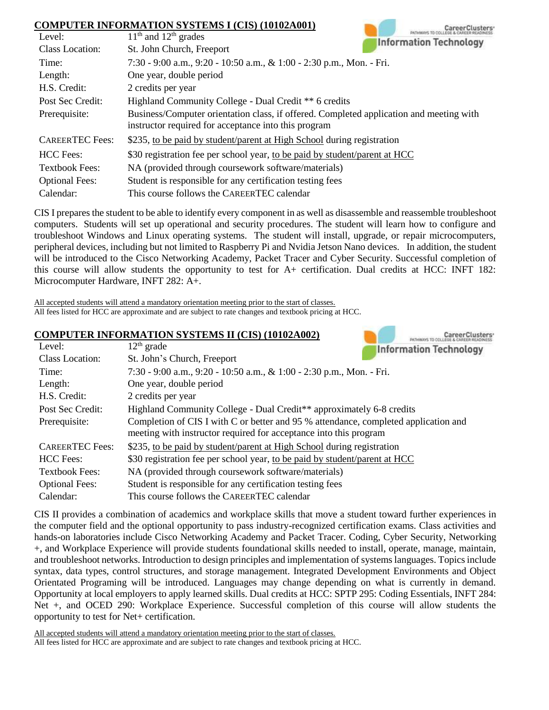#### **COMPUTER INFORMATION SYSTEMS I (CIS) (10102A001)**

|                        | COMPUTER INFORMATION SYSTEMS I (CIS) (10102A001)                                                                                                |  |
|------------------------|-------------------------------------------------------------------------------------------------------------------------------------------------|--|
| Level:                 | $11th$ and $12th$ grades<br><b>Information Technology</b>                                                                                       |  |
| <b>Class Location:</b> | St. John Church, Freeport                                                                                                                       |  |
| Time:                  | 7:30 - 9:00 a.m., 9:20 - 10:50 a.m., & 1:00 - 2:30 p.m., Mon. - Fri.                                                                            |  |
| Length:                | One year, double period                                                                                                                         |  |
| H.S. Credit:           | 2 credits per year                                                                                                                              |  |
| Post Sec Credit:       | Highland Community College - Dual Credit ** 6 credits                                                                                           |  |
| Prerequisite:          | Business/Computer orientation class, if offered. Completed application and meeting with<br>instructor required for acceptance into this program |  |
| <b>CAREERTEC</b> Fees: | \$235, to be paid by student/parent at High School during registration                                                                          |  |
| <b>HCC</b> Fees:       | \$30 registration fee per school year, to be paid by student/parent at HCC                                                                      |  |
| <b>Textbook Fees:</b>  | NA (provided through coursework software/materials)                                                                                             |  |
| <b>Optional Fees:</b>  | Student is responsible for any certification testing fees                                                                                       |  |
| Calendar:              | This course follows the CAREERTEC calendar                                                                                                      |  |

CIS I prepares the student to be able to identify every component in as well as disassemble and reassemble troubleshoot computers. Students will set up operational and security procedures. The student will learn how to configure and troubleshoot Windows and Linux operating systems. The student will install, upgrade, or repair microcomputers, peripheral devices, including but not limited to Raspberry Pi and Nvidia Jetson Nano devices. In addition, the student will be introduced to the Cisco Networking Academy, Packet Tracer and Cyber Security. Successful completion of this course will allow students the opportunity to test for A+ certification. Dual credits at HCC: INFT 182: Microcomputer Hardware, INFT 282: A+.

CarporClustores

All accepted students will attend a mandatory orientation meeting prior to the start of classes. All fees listed for HCC are approximate and are subject to rate changes and textbook pricing at HCC.

#### **COMPUTER INFORMATION SYSTEMS II (CIS) (10102A002)**

|                        | $\mathbf{C}$ UMI UTER INFORMATION DI DI EMD II (CID) (IUIU2AUU2)<br><b>PATHWAYS TO COLLEGE &amp; CAREER READINESS</b>                                    |  |
|------------------------|----------------------------------------------------------------------------------------------------------------------------------------------------------|--|
| Level:                 | $12th$ grade<br><b>Information Technology</b>                                                                                                            |  |
| Class Location:        | St. John's Church, Freeport                                                                                                                              |  |
| Time:                  | 7:30 - 9:00 a.m., 9:20 - 10:50 a.m., & 1:00 - 2:30 p.m., Mon. - Fri.                                                                                     |  |
| Length:                | One year, double period                                                                                                                                  |  |
| H.S. Credit:           | 2 credits per year                                                                                                                                       |  |
| Post Sec Credit:       | Highland Community College - Dual Credit** approximately 6-8 credits                                                                                     |  |
| Prerequisite:          | Completion of CIS I with C or better and 95 % attendance, completed application and<br>meeting with instructor required for acceptance into this program |  |
| <b>CAREERTEC Fees:</b> | \$235, to be paid by student/parent at High School during registration                                                                                   |  |
| <b>HCC</b> Fees:       | \$30 registration fee per school year, to be paid by student/parent at HCC                                                                               |  |
| <b>Textbook Fees:</b>  | NA (provided through coursework software/materials)                                                                                                      |  |
| <b>Optional Fees:</b>  | Student is responsible for any certification testing fees                                                                                                |  |
| Calendar:              | This course follows the CAREERTEC calendar                                                                                                               |  |

CIS II provides a combination of academics and workplace skills that move a student toward further experiences in the computer field and the optional opportunity to pass industry-recognized certification exams. Class activities and hands-on laboratories include Cisco Networking Academy and Packet Tracer. Coding, Cyber Security, Networking +, and Workplace Experience will provide students foundational skills needed to install, operate, manage, maintain, and troubleshoot networks. Introduction to design principles and implementation of systems languages. Topics include syntax, data types, control structures, and storage management. Integrated Development Environments and Object Orientated Programing will be introduced. Languages may change depending on what is currently in demand. Opportunity at local employers to apply learned skills. Dual credits at HCC: SPTP 295: Coding Essentials, INFT 284: Net +, and OCED 290: Workplace Experience. Successful completion of this course will allow students the opportunity to test for Net+ certification.

All accepted students will attend a mandatory orientation meeting prior to the start of classes.

All fees listed for HCC are approximate and are subject to rate changes and textbook pricing at HCC.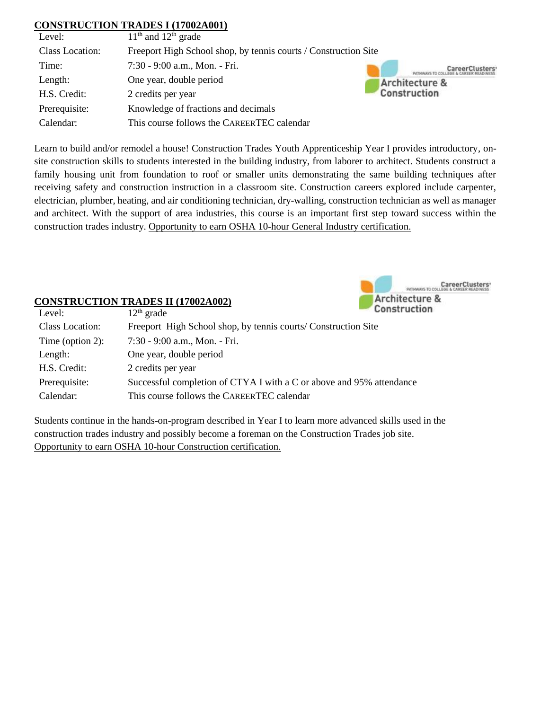### **CONSTRUCTION TRADES I (17002A001)**

| Level:          | $11th$ and $12th$ grade                                         |                |
|-----------------|-----------------------------------------------------------------|----------------|
| Class Location: | Freeport High School shop, by tennis courts / Construction Site |                |
| Time:           | 7:30 - 9:00 a.m., Mon. - Fri.                                   |                |
| Length:         | One year, double period                                         | Architecture & |
| H.S. Credit:    | 2 credits per year                                              | Construction   |
| Prerequisite:   | Knowledge of fractions and decimals                             |                |
| Calendar:       | This course follows the CAREERTEC calendar                      |                |

Learn to build and/or remodel a house! Construction Trades Youth Apprenticeship Year I provides introductory, onsite construction skills to students interested in the building industry, from laborer to architect. Students construct a family housing unit from foundation to roof or smaller units demonstrating the same building techniques after receiving safety and construction instruction in a classroom site. Construction careers explored include carpenter, electrician, plumber, heating, and air conditioning technician, dry-walling, construction technician as well as manager and architect. With the support of area industries, this course is an important first step toward success within the construction trades industry. Opportunity to earn OSHA 10-hour General Industry certification.



### **CONSTRUCTION TRADES II (17002A002)**

| Level:           | $12th$ grade                                                         | t.onstructio |
|------------------|----------------------------------------------------------------------|--------------|
| Class Location:  | Freeport High School shop, by tennis courts/ Construction Site       |              |
| Time (option 2): | 7:30 - 9:00 a.m., Mon. - Fri.                                        |              |
| Length:          | One year, double period                                              |              |
| H.S. Credit:     | 2 credits per year                                                   |              |
| Prerequisite:    | Successful completion of CTYA I with a C or above and 95% attendance |              |
| Calendar:        | This course follows the CAREERTEC calendar                           |              |

Students continue in the hands-on-program described in Year I to learn more advanced skills used in the construction trades industry and possibly become a foreman on the Construction Trades job site. Opportunity to earn OSHA 10-hour Construction certification.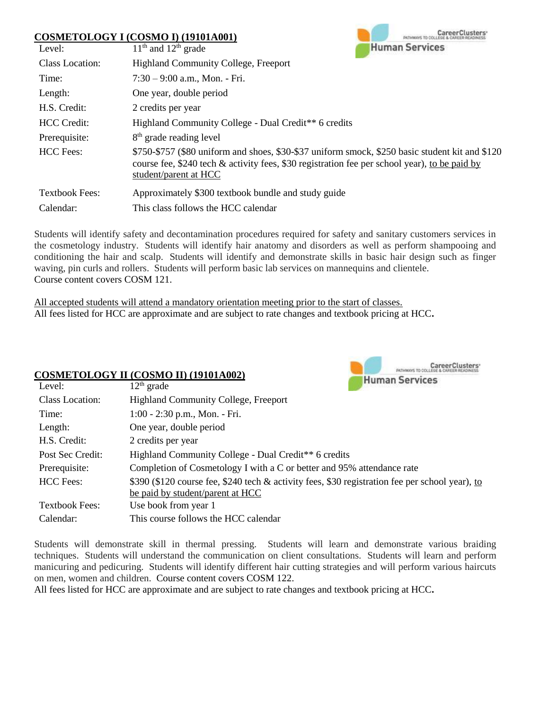### **COSMETOLOGY I (COSMO I) (19101A001)**



| Level:                | $11th$ and $12th$ grade                                                                                                                                                                                                      | <b>Human Services</b> |
|-----------------------|------------------------------------------------------------------------------------------------------------------------------------------------------------------------------------------------------------------------------|-----------------------|
| Class Location:       | <b>Highland Community College, Freeport</b>                                                                                                                                                                                  |                       |
| Time:                 | $7:30 - 9:00$ a.m., Mon. - Fri.                                                                                                                                                                                              |                       |
| Length:               | One year, double period                                                                                                                                                                                                      |                       |
| H.S. Credit:          | 2 credits per year                                                                                                                                                                                                           |                       |
| <b>HCC</b> Credit:    | Highland Community College - Dual Credit <sup>**</sup> 6 credits                                                                                                                                                             |                       |
| Prerequisite:         | 8 <sup>th</sup> grade reading level                                                                                                                                                                                          |                       |
| <b>HCC</b> Fees:      | \$750-\$757 (\$80 uniform and shoes, \$30-\$37 uniform smock, \$250 basic student kit and \$120<br>course fee, \$240 tech $\&$ activity fees, \$30 registration fee per school year), to be paid by<br>student/parent at HCC |                       |
| <b>Textbook Fees:</b> | Approximately \$300 textbook bundle and study guide                                                                                                                                                                          |                       |
| Calendar:             | This class follows the HCC calendar                                                                                                                                                                                          |                       |

Students will identify safety and decontamination procedures required for safety and sanitary customers services in the cosmetology industry. Students will identify hair anatomy and disorders as well as perform shampooing and conditioning the hair and scalp. Students will identify and demonstrate skills in basic hair design such as finger waving, pin curls and rollers. Students will perform basic lab services on mannequins and clientele. Course content covers COSM 121.

All accepted students will attend a mandatory orientation meeting prior to the start of classes. All fees listed for HCC are approximate and are subject to rate changes and textbook pricing at HCC**.**

#### **COSMETOLOGY II (COSMO II) (19101A002)** Level:  $12th$  grade



| LUVU.                 | $12 \mu$ grauc                                                                                  |
|-----------------------|-------------------------------------------------------------------------------------------------|
| Class Location:       | <b>Highland Community College, Freeport</b>                                                     |
| Time:                 | $1:00 - 2:30$ p.m., Mon. - Fri.                                                                 |
| Length:               | One year, double period                                                                         |
| H.S. Credit:          | 2 credits per year                                                                              |
| Post Sec Credit:      | Highland Community College - Dual Credit** 6 credits                                            |
| Prerequisite:         | Completion of Cosmetology I with a C or better and 95% attendance rate                          |
| <b>HCC</b> Fees:      | \$390 (\$120 course fee, \$240 tech & activity fees, \$30 registration fee per school year), to |
|                       | be paid by student/parent at HCC                                                                |
| <b>Textbook Fees:</b> | Use book from year 1                                                                            |
| Calendar:             | This course follows the HCC calendar                                                            |

Students will demonstrate skill in thermal pressing. Students will learn and demonstrate various braiding techniques. Students will understand the communication on client consultations. Students will learn and perform manicuring and pedicuring. Students will identify different hair cutting strategies and will perform various haircuts on men, women and children. Course content covers COSM 122.

All fees listed for HCC are approximate and are subject to rate changes and textbook pricing at HCC**.**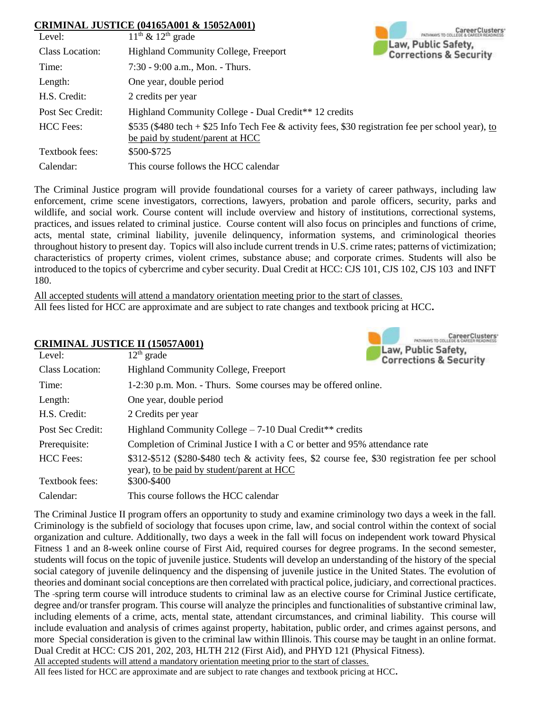### **CRIMINAL JUSTICE (04165A001 & 15052A001)**

|                  | CRIMINAL JUSTICE (04165A001 & 15052A001)                                                                                               |                                                          |
|------------------|----------------------------------------------------------------------------------------------------------------------------------------|----------------------------------------------------------|
| Level:           | $11th$ & $12th$ grade                                                                                                                  |                                                          |
| Class Location:  | <b>Highland Community College, Freeport</b>                                                                                            | Law, Public Safety,<br><b>Corrections &amp; Security</b> |
| Time:            | $7:30 - 9:00$ a.m., Mon. - Thurs.                                                                                                      |                                                          |
| Length:          | One year, double period                                                                                                                |                                                          |
| H.S. Credit:     | 2 credits per year                                                                                                                     |                                                          |
| Post Sec Credit: | Highland Community College - Dual Credit** 12 credits                                                                                  |                                                          |
| <b>HCC</b> Fees: | \$535 (\$480 tech + \$25 Info Tech Fee & activity fees, \$30 registration fee per school year), to<br>be paid by student/parent at HCC |                                                          |
| Textbook fees:   | \$500-\$725                                                                                                                            |                                                          |
| Calendar:        | This course follows the HCC calendar                                                                                                   |                                                          |

The Criminal Justice program will provide foundational courses for a variety of career pathways, including law enforcement, crime scene investigators, corrections, lawyers, probation and parole officers, security, parks and wildlife, and social work. Course content will include overview and history of institutions, correctional systems, practices, and issues related to criminal justice. Course content will also focus on principles and functions of crime, acts, mental state, criminal liability, juvenile delinquency, information systems, and criminological theories throughout history to present day. Topics will also include current trends in U.S. crime rates; patterns of victimization; characteristics of property crimes, violent crimes, substance abuse; and corporate crimes. Students will also be introduced to the topics of cybercrime and cyber security. Dual Credit at HCC: CJS 101, CJS 102, CJS 103 and INFT 180.

All accepted students will attend a mandatory orientation meeting prior to the start of classes. All fees listed for HCC are approximate and are subject to rate changes and textbook pricing at HCC**.**

| <b>CRIMINAL JUSTICE II (15057A001)</b> |                                                                                                                                               |  |  |
|----------------------------------------|-----------------------------------------------------------------------------------------------------------------------------------------------|--|--|
| Level:                                 | Law, Public Safety,<br>$12th$ grade<br><b>Corrections &amp; Security</b>                                                                      |  |  |
| Class Location:                        | <b>Highland Community College, Freeport</b>                                                                                                   |  |  |
| Time:                                  | 1-2:30 p.m. Mon. - Thurs. Some courses may be offered online.                                                                                 |  |  |
| Length:                                | One year, double period                                                                                                                       |  |  |
| H.S. Credit:                           | 2 Credits per year                                                                                                                            |  |  |
| Post Sec Credit:                       | Highland Community College $-7-10$ Dual Credit <sup>**</sup> credits                                                                          |  |  |
| Prerequisite:                          | Completion of Criminal Justice I with a C or better and 95% attendance rate                                                                   |  |  |
| <b>HCC</b> Fees:                       | \$312-\$512 (\$280-\$480 tech & activity fees, \$2 course fee, \$30 registration fee per school<br>year), to be paid by student/parent at HCC |  |  |
| Textbook fees:                         | \$300-\$400                                                                                                                                   |  |  |
| Calendar:                              | This course follows the HCC calendar                                                                                                          |  |  |

The Criminal Justice II program offers an opportunity to study and examine criminology two days a week in the fall. Criminology is the subfield of sociology that focuses upon crime, law, and social control within the context of social organization and culture. Additionally, two days a week in the fall will focus on independent work toward Physical Fitness 1 and an 8-week online course of First Aid, required courses for degree programs. In the second semester, students will focus on the topic of juvenile justice. Students will develop an understanding of the history of the special social category of juvenile delinquency and the dispensing of juvenile justice in the United States. The evolution of theories and dominant social conceptions are then correlated with practical police, judiciary, and correctional practices. The spring term course will introduce students to criminal law as an elective course for Criminal Justice certificate, degree and/or transfer program. This course will analyze the principles and functionalities of substantive criminal law, including elements of a crime, acts, mental state, attendant circumstances, and criminal liability. This course will include evaluation and analysis of crimes against property, habitation, public order, and crimes against persons, and more Special consideration is given to the criminal law within Illinois. This course may be taught in an online format. Dual Credit at HCC: CJS 201, 202, 203, HLTH 212 (First Aid), and PHYD 121 (Physical Fitness). All accepted students will attend a mandatory orientation meeting prior to the start of classes.

All fees listed for HCC are approximate and are subject to rate changes and textbook pricing at HCC**.**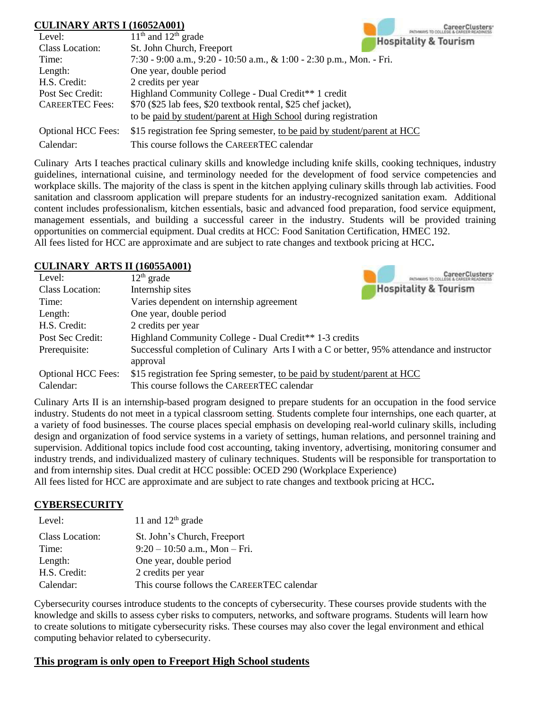### **CULINARY ARTS I (16052A001)**

| CULINARY ARTS I (16052A001) |                                                                            |
|-----------------------------|----------------------------------------------------------------------------|
| Level:                      | $11th$ and $12th$ grade<br><b>Hospitality &amp; Tourism</b>                |
| Class Location:             | St. John Church, Freeport                                                  |
| Time:                       | 7:30 - 9:00 a.m., 9:20 - 10:50 a.m., & 1:00 - 2:30 p.m., Mon. - Fri.       |
| Length:                     | One year, double period                                                    |
| H.S. Credit:                | 2 credits per year                                                         |
| Post Sec Credit:            | Highland Community College - Dual Credit** 1 credit                        |
| <b>CAREERTEC</b> Fees:      | \$70 (\$25 lab fees, \$20 textbook rental, \$25 chef jacket),              |
|                             | to be paid by student/parent at High School during registration            |
| <b>Optional HCC Fees:</b>   | \$15 registration fee Spring semester, to be paid by student/parent at HCC |
| Calendar:                   | This course follows the CAREERTEC calendar                                 |

Culinary Arts I teaches practical culinary skills and knowledge including knife skills, cooking techniques, industry guidelines, international cuisine, and terminology needed for the development of food service competencies and workplace skills. The majority of the class is spent in the kitchen applying culinary skills through lab activities. Food sanitation and classroom application will prepare students for an industry-recognized sanitation exam. Additional content includes professionalism, kitchen essentials, basic and advanced food preparation, food service equipment, management essentials, and building a successful career in the industry. Students will be provided training opportunities on commercial equipment. Dual credits at HCC: Food Sanitation Certification, HMEC 192. All fees listed for HCC are approximate and are subject to rate changes and textbook pricing at HCC**.**

#### **CULINARY ARTS II (16055A001)**

| Level:                    | $12th$ grade                                                                                           |
|---------------------------|--------------------------------------------------------------------------------------------------------|
| Class Location:           | <b>Hospitality &amp; Tourism</b><br>Internship sites                                                   |
| Time:                     | Varies dependent on internship agreement                                                               |
| Length:                   | One year, double period                                                                                |
| H.S. Credit:              | 2 credits per year                                                                                     |
| Post Sec Credit:          | Highland Community College - Dual Credit** 1-3 credits                                                 |
| Prerequisite:             | Successful completion of Culinary Arts I with a C or better, 95% attendance and instructor<br>approval |
| <b>Optional HCC Fees:</b> | \$15 registration fee Spring semester, to be paid by student/parent at HCC                             |
| Calendar:                 | This course follows the CAREERTEC calendar                                                             |

Culinary Arts II is an internship-based program designed to prepare students for an occupation in the food service industry. Students do not meet in a typical classroom setting. Students complete four internships, one each quarter, at a variety of food businesses. The course places special emphasis on developing real-world culinary skills, including design and organization of food service systems in a variety of settings, human relations, and personnel training and supervision. Additional topics include food cost accounting, taking inventory, advertising, monitoring consumer and industry trends, and individualized mastery of culinary techniques. Students will be responsible for transportation to and from internship sites. Dual credit at HCC possible: OCED 290 (Workplace Experience)

All fees listed for HCC are approximate and are subject to rate changes and textbook pricing at HCC**.**

### **CYBERSECURITY**

| Level:                 | 11 and $12th$ grade                        |
|------------------------|--------------------------------------------|
| <b>Class Location:</b> | St. John's Church, Freeport                |
| Time:                  | $9:20-10:50$ a.m., Mon - Fri.              |
| Length:                | One year, double period                    |
| H.S. Credit:           | 2 credits per year                         |
| Calendar:              | This course follows the CAREERTEC calendar |

Cybersecurity courses introduce students to the concepts of cybersecurity. These courses provide students with the knowledge and skills to assess cyber risks to computers, networks, and software programs. Students will learn how to create solutions to mitigate cybersecurity risks. These courses may also cover the legal environment and ethical computing behavior related to cybersecurity.

## **This program is only open to Freeport High School students**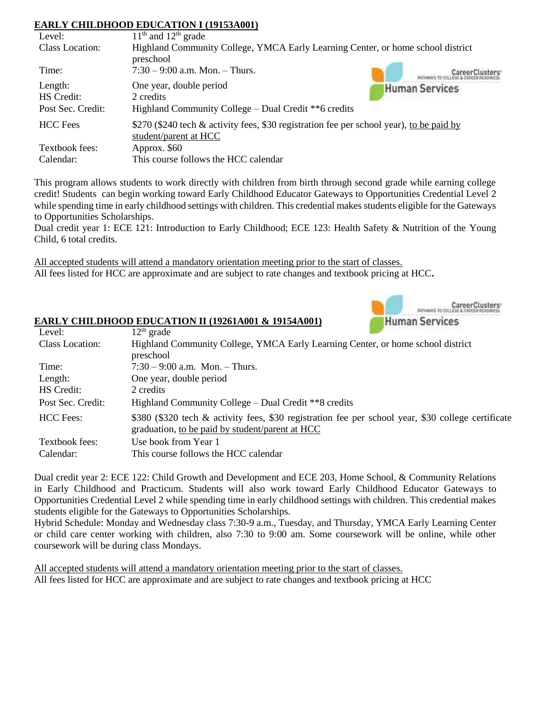### **EARLY CHILDHOOD EDUCATION I (19153A001)**

| Level:                                     | $11th$ and $12th$ grade                                                                                                |  |
|--------------------------------------------|------------------------------------------------------------------------------------------------------------------------|--|
| Class Location:                            | Highland Community College, YMCA Early Learning Center, or home school district<br>preschool                           |  |
| Time:                                      | $7:30 - 9:00$ a.m. Mon. - Thurs.                                                                                       |  |
| Length:<br>HS Credit:<br>Post Sec. Credit: | One year, double period<br><b>Human Services</b><br>2 credits<br>Highland Community College - Dual Credit ** 6 credits |  |
| <b>HCC</b> Fees                            | \$270 (\$240 tech & activity fees, \$30 registration fee per school year), to be paid by<br>student/parent at HCC      |  |
| Textbook fees:<br>Calendar:                | Approx. \$60<br>This course follows the HCC calendar                                                                   |  |

This program allows students to work directly with children from birth through second grade while earning college credit! Students can begin working toward Early Childhood Educator Gateways to Opportunities Credential Level 2 while spending time in early childhood settings with children. This credential makes students eligible for the Gateways to Opportunities Scholarships.

Dual credit year 1: ECE 121: Introduction to Early Childhood; ECE 123: Health Safety & Nutrition of the Young Child, 6 total credits.

All accepted students will attend a mandatory orientation meeting prior to the start of classes. All fees listed for HCC are approximate and are subject to rate changes and textbook pricing at HCC**.**

**EARLY CHILDHOOD EDUCATION II (19261A001 & 19154A001)**

| CareerClusters <sup>®</sup><br>PATHWAYS TO COLLEGE & CAREER READINFSS. |
|------------------------------------------------------------------------|
| <b>Human Services</b>                                                  |

| Level:            | $12th$ grade                                                                                                                                          |
|-------------------|-------------------------------------------------------------------------------------------------------------------------------------------------------|
| Class Location:   | Highland Community College, YMCA Early Learning Center, or home school district                                                                       |
|                   | preschool                                                                                                                                             |
| Time:             | $7:30 - 9:00$ a.m. Mon. - Thurs.                                                                                                                      |
| Length:           | One year, double period                                                                                                                               |
| HS Credit:        | 2 credits                                                                                                                                             |
| Post Sec. Credit: | Highland Community College – Dual Credit **8 credits                                                                                                  |
| <b>HCC</b> Fees:  | \$380 (\$320 tech & activity fees, \$30 registration fee per school year, \$30 college certificate<br>graduation, to be paid by student/parent at HCC |
| Textbook fees:    | Use book from Year 1                                                                                                                                  |
| Calendar:         | This course follows the HCC calendar                                                                                                                  |

Dual credit year 2: ECE 122: Child Growth and Development and ECE 203, Home School, & Community Relations in Early Childhood and Practicum. Students will also work toward Early Childhood Educator Gateways to Opportunities Credential Level 2 while spending time in early childhood settings with children. This credential makes students eligible for the Gateways to Opportunities Scholarships.

Hybrid Schedule: Monday and Wednesday class 7:30-9 a.m., Tuesday, and Thursday, YMCA Early Learning Center or child care center working with children, also 7:30 to 9:00 am. Some coursework will be online, while other coursework will be during class Mondays.

All accepted students will attend a mandatory orientation meeting prior to the start of classes. All fees listed for HCC are approximate and are subject to rate changes and textbook pricing at HCC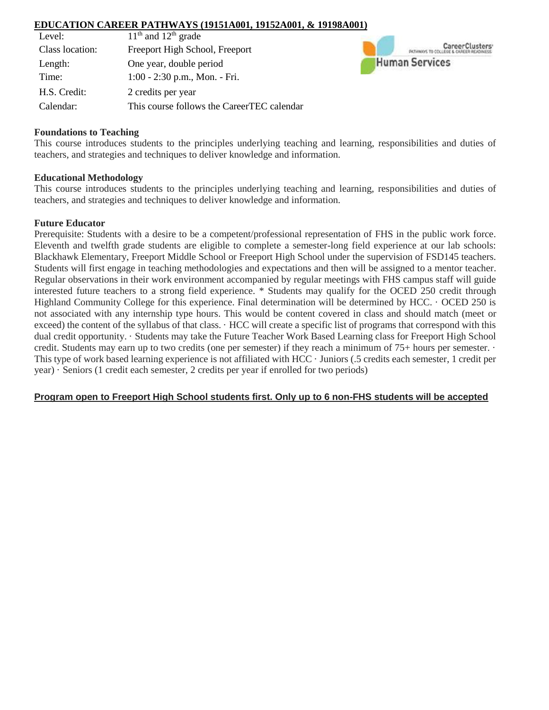#### **EDUCATION CAREER PATHWAYS (19151A001, 19152A001, & 19198A001)**

| Level:          | $11th$ and $12th$ grade                    |
|-----------------|--------------------------------------------|
| Class location: | Freeport High School, Freeport             |
| Length:         | One year, double period                    |
| Time:           | $1:00 - 2:30$ p.m., Mon. - Fri.            |
| H.S. Credit:    | 2 credits per year                         |
| Calendar:       | This course follows the CareerTEC calendar |



#### **Foundations to Teaching**

This course introduces students to the principles underlying teaching and learning, responsibilities and duties of teachers, and strategies and techniques to deliver knowledge and information.

#### **Educational Methodology**

This course introduces students to the principles underlying teaching and learning, responsibilities and duties of teachers, and strategies and techniques to deliver knowledge and information.

#### **Future Educator**

Prerequisite: Students with a desire to be a competent/professional representation of FHS in the public work force. Eleventh and twelfth grade students are eligible to complete a semester-long field experience at our lab schools: Blackhawk Elementary, Freeport Middle School or Freeport High School under the supervision of FSD145 teachers. Students will first engage in teaching methodologies and expectations and then will be assigned to a mentor teacher. Regular observations in their work environment accompanied by regular meetings with FHS campus staff will guide interested future teachers to a strong field experience. \* Students may qualify for the OCED 250 credit through Highland Community College for this experience. Final determination will be determined by HCC. · OCED 250 is not associated with any internship type hours. This would be content covered in class and should match (meet or exceed) the content of the syllabus of that class. · HCC will create a specific list of programs that correspond with this dual credit opportunity. · Students may take the Future Teacher Work Based Learning class for Freeport High School credit. Students may earn up to two credits (one per semester) if they reach a minimum of 75+ hours per semester. · This type of work based learning experience is not affiliated with HCC · Juniors (.5 credits each semester, 1 credit per year) · Seniors (1 credit each semester, 2 credits per year if enrolled for two periods)

#### **Program open to Freeport High School students first. Only up to 6 non-FHS students will be accepted**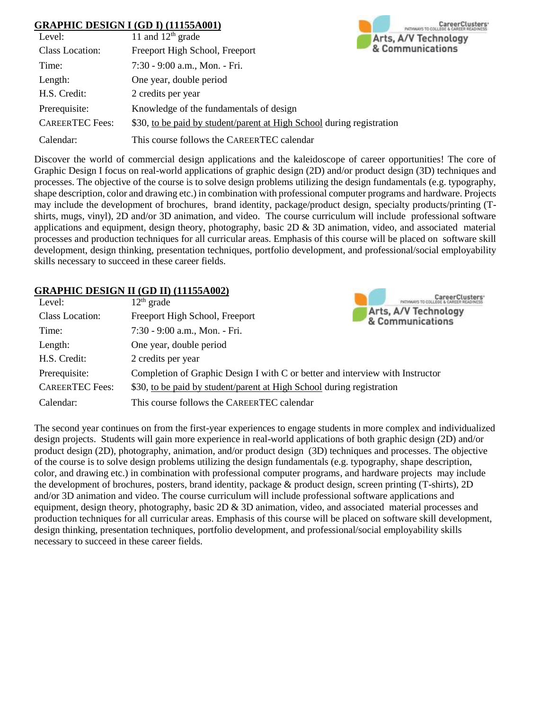### **GRAPHIC DESIGN I (GD I) (11155A001)**

|                        | <b>GRAPHIC DESIGN I (GD I) (11155A001)</b>                            | CareerClusters       |
|------------------------|-----------------------------------------------------------------------|----------------------|
| Level:                 | 11 and $12th$ grade                                                   | Arts, A/V Technology |
| Class Location:        | Freeport High School, Freeport                                        | & Communications     |
| Time:                  | 7:30 - 9:00 a.m., Mon. - Fri.                                         |                      |
| Length:                | One year, double period                                               |                      |
| H.S. Credit:           | 2 credits per year                                                    |                      |
| Prerequisite:          | Knowledge of the fundamentals of design                               |                      |
| <b>CAREERTEC Fees:</b> | \$30, to be paid by student/parent at High School during registration |                      |
| Calendar:              | This course follows the CAREERTEC calendar                            |                      |

Discover the world of commercial design applications and the kaleidoscope of career opportunities! The core of Graphic Design I focus on real-world applications of graphic design (2D) and/or product design (3D) techniques and processes. The objective of the course is to solve design problems utilizing the design fundamentals (e.g. typography, shape description, color and drawing etc.) in combination with professional computer programs and hardware. Projects may include the development of brochures, brand identity, package/product design, specialty products/printing (Tshirts, mugs, vinyl), 2D and/or 3D animation, and video. The course curriculum will include professional software applications and equipment, design theory, photography, basic 2D & 3D animation, video, and associated material processes and production techniques for all curricular areas. Emphasis of this course will be placed on software skill development, design thinking, presentation techniques, portfolio development, and professional/social employability skills necessary to succeed in these career fields.

**CARD IN** 

### **GRAPHIC DESIGN II (GD II) (11155A002)**

| Level:                 | $12th$ grade                                                                  |                                          |
|------------------------|-------------------------------------------------------------------------------|------------------------------------------|
| Class Location:        | Freeport High School, Freeport                                                | Arts, A/V Technology<br>& Communications |
| Time:                  | 7:30 - 9:00 a.m., Mon. - Fri.                                                 |                                          |
| Length:                | One year, double period                                                       |                                          |
| H.S. Credit:           | 2 credits per year                                                            |                                          |
| Prerequisite:          | Completion of Graphic Design I with C or better and interview with Instructor |                                          |
| <b>CAREERTEC</b> Fees: | \$30, to be paid by student/parent at High School during registration         |                                          |
| Calendar:              | This course follows the CAREERTEC calendar                                    |                                          |

The second year continues on from the first-year experiences to engage students in more complex and individualized design projects. Students will gain more experience in real-world applications of both graphic design (2D) and/or product design (2D), photography, animation, and/or product design (3D) techniques and processes. The objective of the course is to solve design problems utilizing the design fundamentals (e.g. typography, shape description, color, and drawing etc.) in combination with professional computer programs, and hardware projects may include the development of brochures, posters, brand identity, package & product design, screen printing (T-shirts), 2D and/or 3D animation and video. The course curriculum will include professional software applications and equipment, design theory, photography, basic  $2D \& 3D$  animation, video, and associated material processes and production techniques for all curricular areas. Emphasis of this course will be placed on software skill development, design thinking, presentation techniques, portfolio development, and professional/social employability skills necessary to succeed in these career fields.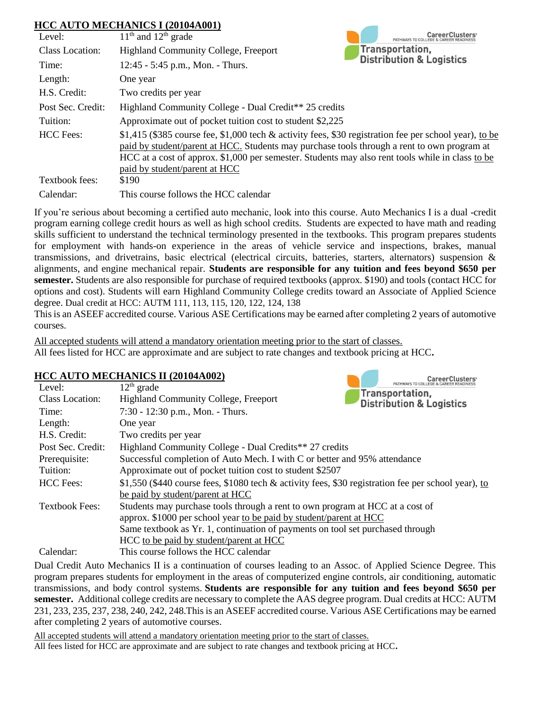### **HCC AUTO MECHANICS I (20104A001)**

| Level:            | CaroorClustors<br>$11th$ and $12th$ grade<br>PATHWAYS TO COLLEGE                                                                                                                                      |  |
|-------------------|-------------------------------------------------------------------------------------------------------------------------------------------------------------------------------------------------------|--|
| Class Location:   | Transportation,<br><b>Highland Community College, Freeport</b>                                                                                                                                        |  |
| Time:             | <b>Distribution &amp; Logistics</b><br>$12:45 - 5:45$ p.m., Mon. - Thurs.                                                                                                                             |  |
| Length:           | One year                                                                                                                                                                                              |  |
| H.S. Credit:      | Two credits per year                                                                                                                                                                                  |  |
| Post Sec. Credit: | Highland Community College - Dual Credit** 25 credits                                                                                                                                                 |  |
| Tuition:          | Approximate out of pocket tuition cost to student \$2,225                                                                                                                                             |  |
| <b>HCC</b> Fees:  | \$1,415 (\$385 course fee, \$1,000 tech & activity fees, \$30 registration fee per school year), to be<br>paid by student/parent at HCC. Students may purchase tools through a rent to own program at |  |
|                   | HCC at a cost of approx. \$1,000 per semester. Students may also rent tools while in class to be                                                                                                      |  |
|                   | paid by student/parent at HCC                                                                                                                                                                         |  |
| Textbook fees:    | \$190                                                                                                                                                                                                 |  |
| Calendar:         | This course follows the HCC calendar                                                                                                                                                                  |  |

If you're serious about becoming a certified auto mechanic, look into this course. Auto Mechanics I is a dual -credit program earning college credit hours as well as high school credits. Students are expected to have math and reading skills sufficient to understand the technical terminology presented in the textbooks. This program prepares students for employment with hands-on experience in the areas of vehicle service and inspections, brakes, manual transmissions, and drivetrains, basic electrical (electrical circuits, batteries, starters, alternators) suspension & alignments, and engine mechanical repair. **Students are responsible for any tuition and fees beyond \$650 per semester.** Students are also responsible for purchase of required textbooks (approx. \$190) and tools (contact HCC for options and cost). Students will earn Highland Community College credits toward an Associate of Applied Science degree. Dual credit at HCC: AUTM 111, 113, 115, 120, 122, 124, 138

This is an ASEEF accredited course. Various ASE Certifications may be earned after completing 2 years of automotive courses.

**CONTRACTOR** 

CaroorClustores

All accepted students will attend a mandatory orientation meeting prior to the start of classes. All fees listed for HCC are approximate and are subject to rate changes and textbook pricing at HCC**.**

### **HCC AUTO MECHANICS II (20104A002)**

| Level:                 | PATHWAYS TO COLLEGE & CAREER READINES<br>$12th$ grade                                                 |  |
|------------------------|-------------------------------------------------------------------------------------------------------|--|
| <b>Class Location:</b> | Transportation,<br><b>Highland Community College, Freeport</b><br><b>Distribution &amp; Logistics</b> |  |
| Time:                  | 7:30 - 12:30 p.m., Mon. - Thurs.                                                                      |  |
| Length:                | One year                                                                                              |  |
| H.S. Credit:           | Two credits per year                                                                                  |  |
| Post Sec. Credit:      | Highland Community College - Dual Credits** 27 credits                                                |  |
| Prerequisite:          | Successful completion of Auto Mech. I with C or better and 95% attendance                             |  |
| Tuition:               | Approximate out of pocket tuition cost to student \$2507                                              |  |
| <b>HCC</b> Fees:       | \$1,550 (\$440 course fees, \$1080 tech & activity fees, \$30 registration fee per school year), to   |  |
|                        | be paid by student/parent at HCC                                                                      |  |
| <b>Textbook Fees:</b>  | Students may purchase tools through a rent to own program at HCC at a cost of                         |  |
|                        | approx. \$1000 per school year to be paid by student/parent at HCC                                    |  |
|                        | Same textbook as Yr. 1, continuation of payments on tool set purchased through                        |  |
|                        | HCC to be paid by student/parent at HCC                                                               |  |
| Calendar:              | This course follows the HCC calendar                                                                  |  |

Dual Credit Auto Mechanics II is a continuation of courses leading to an Assoc. of Applied Science Degree. This program prepares students for employment in the areas of computerized engine controls, air conditioning, automatic transmissions, and body control systems. **Students are responsible for any tuition and fees beyond \$650 per semester.** Additional college credits are necessary to complete the AAS degree program. Dual credits at HCC: AUTM 231, 233, 235, 237, 238, 240, 242, 248.This is an ASEEF accredited course. Various ASE Certifications may be earned after completing 2 years of automotive courses.

All accepted students will attend a mandatory orientation meeting prior to the start of classes. All fees listed for HCC are approximate and are subject to rate changes and textbook pricing at HCC**.**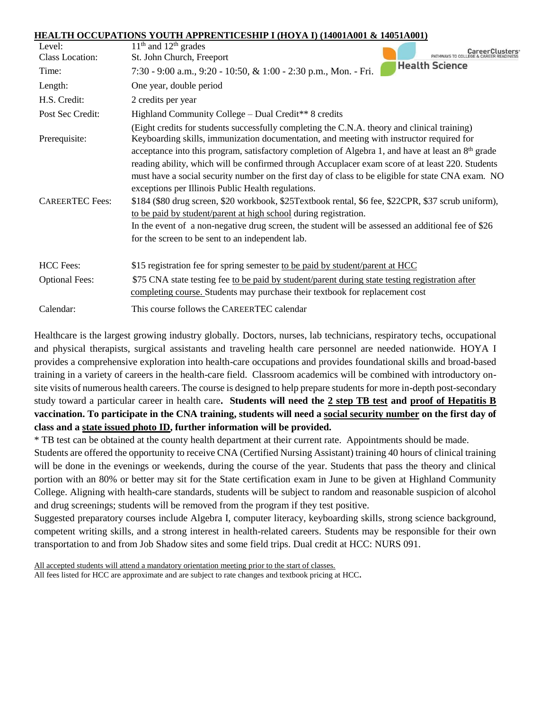#### **HEALTH OCCUPATIONS YOUTH APPRENTICESHIP I (HOYA I) (14001A001 & 14051A001)**

| Level:<br>Class Location:               | $11th$ and $12th$ grades<br>St. John Church, Freeport<br>PATHWAYS TO COLLEO                                                                                                                                                                                                                                                                                                                                                                                                                                                                                                                                                                                                                                                                                                                                                                                                                           |
|-----------------------------------------|-------------------------------------------------------------------------------------------------------------------------------------------------------------------------------------------------------------------------------------------------------------------------------------------------------------------------------------------------------------------------------------------------------------------------------------------------------------------------------------------------------------------------------------------------------------------------------------------------------------------------------------------------------------------------------------------------------------------------------------------------------------------------------------------------------------------------------------------------------------------------------------------------------|
| Time:                                   | <b>Health Science</b><br>7:30 - 9:00 a.m., 9:20 - 10:50, & 1:00 - 2:30 p.m., Mon. - Fri.                                                                                                                                                                                                                                                                                                                                                                                                                                                                                                                                                                                                                                                                                                                                                                                                              |
| Length:                                 | One year, double period                                                                                                                                                                                                                                                                                                                                                                                                                                                                                                                                                                                                                                                                                                                                                                                                                                                                               |
| H.S. Credit:                            | 2 credits per year                                                                                                                                                                                                                                                                                                                                                                                                                                                                                                                                                                                                                                                                                                                                                                                                                                                                                    |
| Post Sec Credit:                        | Highland Community College – Dual Credit** 8 credits                                                                                                                                                                                                                                                                                                                                                                                                                                                                                                                                                                                                                                                                                                                                                                                                                                                  |
| Prerequisite:<br><b>CAREERTEC Fees:</b> | (Eight credits for students successfully completing the C.N.A. theory and clinical training)<br>Keyboarding skills, immunization documentation, and meeting with instructor required for<br>acceptance into this program, satisfactory completion of Algebra 1, and have at least an $8th$ grade<br>reading ability, which will be confirmed through Accuplacer exam score of at least 220. Students<br>must have a social security number on the first day of class to be eligible for state CNA exam. NO<br>exceptions per Illinois Public Health regulations.<br>\$184 (\$80 drug screen, \$20 workbook, \$25Textbook rental, \$6 fee, \$22CPR, \$37 scrub uniform),<br>to be paid by student/parent at high school during registration.<br>In the event of a non-negative drug screen, the student will be assessed an additional fee of \$26<br>for the screen to be sent to an independent lab. |
| <b>HCC</b> Fees:                        | \$15 registration fee for spring semester to be paid by student/parent at HCC                                                                                                                                                                                                                                                                                                                                                                                                                                                                                                                                                                                                                                                                                                                                                                                                                         |
| <b>Optional Fees:</b>                   | \$75 CNA state testing fee to be paid by student/parent during state testing registration after<br>completing course. Students may purchase their textbook for replacement cost                                                                                                                                                                                                                                                                                                                                                                                                                                                                                                                                                                                                                                                                                                                       |
| Calendar:                               | This course follows the CAREERTEC calendar                                                                                                                                                                                                                                                                                                                                                                                                                                                                                                                                                                                                                                                                                                                                                                                                                                                            |

Healthcare is the largest growing industry globally. Doctors, nurses, lab technicians, respiratory techs, occupational and physical therapists, surgical assistants and traveling health care personnel are needed nationwide. HOYA I provides a comprehensive exploration into health-care occupations and provides foundational skills and broad-based training in a variety of careers in the health-care field. Classroom academics will be combined with introductory onsite visits of numerous health careers. The course is designed to help prepare students for more in-depth post-secondary study toward a particular career in health care**. Students will need the 2 step TB test and proof of Hepatitis B vaccination. To participate in the CNA training, students will need a social security number on the first day of class and a state issued photo ID, further information will be provided.** 

\* TB test can be obtained at the county health department at their current rate. Appointments should be made.

Students are offered the opportunity to receive CNA (Certified Nursing Assistant) training 40 hours of clinical training will be done in the evenings or weekends, during the course of the year. Students that pass the theory and clinical portion with an 80% or better may sit for the State certification exam in June to be given at Highland Community College. Aligning with health-care standards, students will be subject to random and reasonable suspicion of alcohol and drug screenings; students will be removed from the program if they test positive.

Suggested preparatory courses include Algebra I, computer literacy, keyboarding skills, strong science background, competent writing skills, and a strong interest in health-related careers. Students may be responsible for their own transportation to and from Job Shadow sites and some field trips. Dual credit at HCC: NURS 091.

All accepted students will attend a mandatory orientation meeting prior to the start of classes. All fees listed for HCC are approximate and are subject to rate changes and textbook pricing at HCC**.**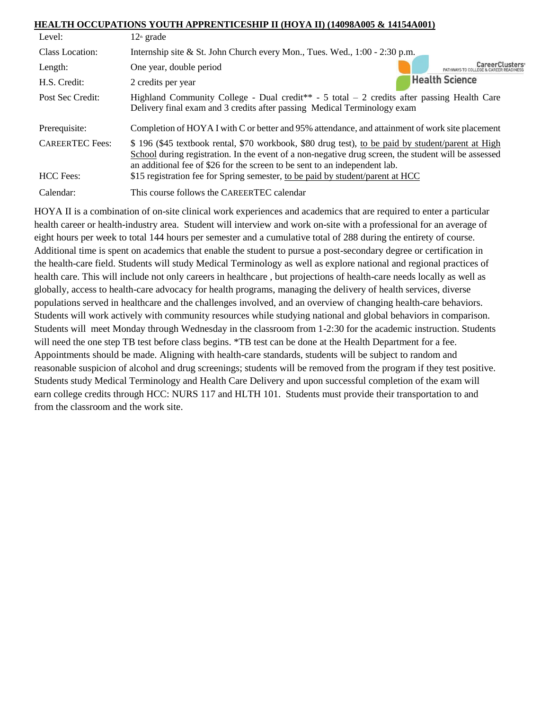### **HEALTH OCCUPATIONS YOUTH APPRENTICESHIP II (HOYA II) (14098A005 & 14154A001)**

| Level:                              | $12th$ grade                                                                                                                                                                                                                                                                                                                                                              |  |
|-------------------------------------|---------------------------------------------------------------------------------------------------------------------------------------------------------------------------------------------------------------------------------------------------------------------------------------------------------------------------------------------------------------------------|--|
| Class Location:                     | Internship site & St. John Church every Mon., Tues. Wed., $1:00 - 2:30$ p.m.                                                                                                                                                                                                                                                                                              |  |
| Length:                             | CareerClusters<br>One year, double period<br>PATHWAYS TO COL                                                                                                                                                                                                                                                                                                              |  |
| H.S. Credit:                        | <b>Health Science</b><br>2 credits per year                                                                                                                                                                                                                                                                                                                               |  |
| Post Sec Credit:                    | Highland Community College - Dual credit <sup>**</sup> - 5 total $-2$ credits after passing Health Care<br>Delivery final exam and 3 credits after passing Medical Terminology exam                                                                                                                                                                                       |  |
| Prerequisite:                       | Completion of HOYA I with C or better and 95% attendance, and attainment of work site placement                                                                                                                                                                                                                                                                           |  |
| <b>CAREERTEC</b> Fees:<br>HCC Fees: | \$196 (\$45 textbook rental, \$70 workbook, \$80 drug test), to be paid by student/parent at High<br>School during registration. In the event of a non-negative drug screen, the student will be assessed<br>an additional fee of \$26 for the screen to be sent to an independent lab.<br>\$15 registration fee for Spring semester, to be paid by student/parent at HCC |  |
| Calendar:                           | This course follows the CAREERTEC calendar                                                                                                                                                                                                                                                                                                                                |  |

HOYA II is a combination of on-site clinical work experiences and academics that are required to enter a particular health career or health-industry area. Student will interview and work on-site with a professional for an average of eight hours per week to total 144 hours per semester and a cumulative total of 288 during the entirety of course. Additional time is spent on academics that enable the student to pursue a post-secondary degree or certification in the health-care field. Students will study Medical Terminology as well as explore national and regional practices of health care. This will include not only careers in healthcare , but projections of health-care needs locally as well as globally, access to health-care advocacy for health programs, managing the delivery of health services, diverse populations served in healthcare and the challenges involved, and an overview of changing health-care behaviors. Students will work actively with community resources while studying national and global behaviors in comparison. Students will meet Monday through Wednesday in the classroom from 1-2:30 for the academic instruction. Students will need the one step TB test before class begins. \*TB test can be done at the Health Department for a fee. Appointments should be made. Aligning with health-care standards, students will be subject to random and reasonable suspicion of alcohol and drug screenings; students will be removed from the program if they test positive. Students study Medical Terminology and Health Care Delivery and upon successful completion of the exam will earn college credits through HCC: NURS 117 and HLTH 101. Students must provide their transportation to and from the classroom and the work site.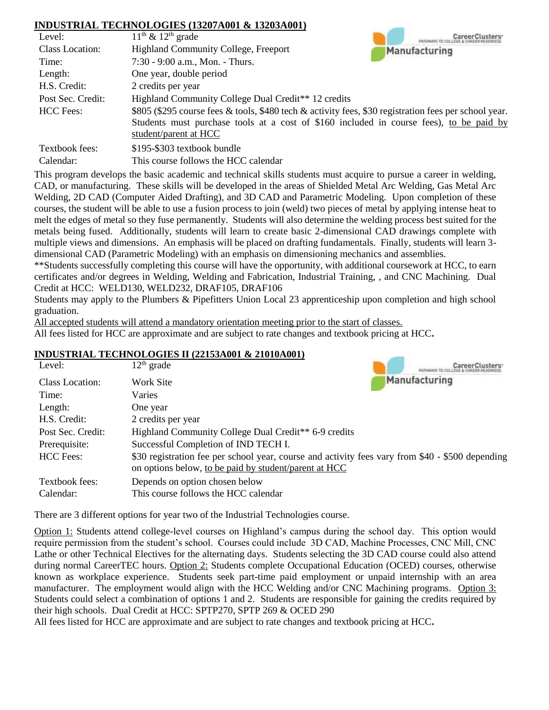### **INDUSTRIAL TECHNOLOGIES (13207A001 & 13203A001)**

| Level:                 | $11th$ & $12th$ grade                                                                                 |
|------------------------|-------------------------------------------------------------------------------------------------------|
| <b>Class Location:</b> | <b>Highland Community College, Freeport</b><br>Manufacturing                                          |
| Time:                  | $7:30 - 9:00$ a.m., Mon. - Thurs.                                                                     |
| Length:                | One year, double period                                                                               |
| H.S. Credit:           | 2 credits per year                                                                                    |
| Post Sec. Credit:      | Highland Community College Dual Credit <sup>**</sup> 12 credits                                       |
| <b>HCC</b> Fees:       | \$805 (\$295 course fees & tools, \$480 tech & activity fees, \$30 registration fees per school year. |
|                        | Students must purchase tools at a cost of \$160 included in course fees), to be paid by               |
|                        | student/parent at HCC                                                                                 |
| Textbook fees:         | \$195-\$303 textbook bundle                                                                           |
| Calendar:              | This course follows the HCC calendar                                                                  |

This program develops the basic academic and technical skills students must acquire to pursue a career in welding, CAD, or manufacturing. These skills will be developed in the areas of Shielded Metal Arc Welding, Gas Metal Arc Welding, 2D CAD (Computer Aided Drafting), and 3D CAD and Parametric Modeling. Upon completion of these courses, the student will be able to use a fusion process to join (weld) two pieces of metal by applying intense heat to melt the edges of metal so they fuse permanently. Students will also determine the welding process best suited for the metals being fused. Additionally, students will learn to create basic 2-dimensional CAD drawings complete with multiple views and dimensions. An emphasis will be placed on drafting fundamentals. Finally, students will learn 3 dimensional CAD (Parametric Modeling) with an emphasis on dimensioning mechanics and assemblies.

\*\*Students successfully completing this course will have the opportunity, with additional coursework at HCC, to earn certificates and/or degrees in Welding, Welding and Fabrication, Industrial Training, , and CNC Machining. Dual Credit at HCC: WELD130, WELD232, DRAF105, DRAF106

Students may apply to the Plumbers & Pipefitters Union Local 23 apprenticeship upon completion and high school graduation.

All accepted students will attend a mandatory orientation meeting prior to the start of classes.

All fees listed for HCC are approximate and are subject to rate changes and textbook pricing at HCC**.**

#### **INDUSTRIAL TECHNOLOGIES II (22153A001 & 21010A001)**

| Level:            | $12th$ grade<br><b>DISTINGUINE TO COLLEGE &amp;</b>                                                                                                       |
|-------------------|-----------------------------------------------------------------------------------------------------------------------------------------------------------|
| Class Location:   | Manufacturing<br>Work Site                                                                                                                                |
| Time:             | Varies                                                                                                                                                    |
| Length:           | One year                                                                                                                                                  |
| H.S. Credit:      | 2 credits per year                                                                                                                                        |
| Post Sec. Credit: | Highland Community College Dual Credit <sup>**</sup> 6-9 credits                                                                                          |
| Prerequisite:     | Successful Completion of IND TECH I.                                                                                                                      |
| <b>HCC</b> Fees:  | \$30 registration fee per school year, course and activity fees vary from \$40 - \$500 depending<br>on options below, to be paid by student/parent at HCC |
| Textbook fees:    | Depends on option chosen below                                                                                                                            |
| Calendar:         | This course follows the HCC calendar                                                                                                                      |

**Service** 

There are 3 different options for year two of the Industrial Technologies course.

Option 1: Students attend college-level courses on Highland's campus during the school day. This option would require permission from the student's school. Courses could include 3D CAD, Machine Processes, CNC Mill, CNC Lathe or other Technical Electives for the alternating days. Students selecting the 3D CAD course could also attend during normal CareerTEC hours. Option 2: Students complete Occupational Education (OCED) courses, otherwise known as workplace experience. Students seek part-time paid employment or unpaid internship with an area manufacturer. The employment would align with the HCC Welding and/or CNC Machining programs. Option 3: Students could select a combination of options 1 and 2. Students are responsible for gaining the credits required by their high schools. Dual Credit at HCC: SPTP270, SPTP 269 & OCED 290

All fees listed for HCC are approximate and are subject to rate changes and textbook pricing at HCC**.**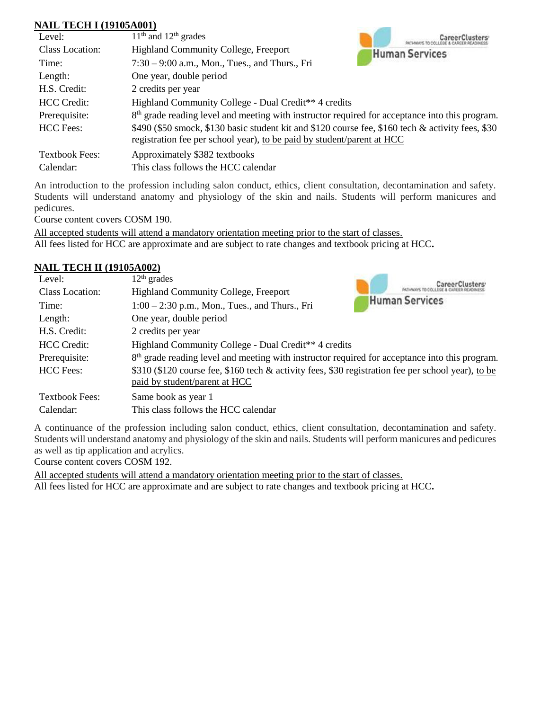### **NAIL TECH I (19105A001)**

| ниц тесптилогион      |                                                                                                                                                                             |
|-----------------------|-----------------------------------------------------------------------------------------------------------------------------------------------------------------------------|
| Level:                | $11th$ and $12th$ grades                                                                                                                                                    |
| Class Location:       | <b>Highland Community College, Freeport</b><br><b>Human Services</b>                                                                                                        |
| Time:                 | $7:30 - 9:00$ a.m., Mon., Tues., and Thurs., Fri                                                                                                                            |
| Length:               | One year, double period                                                                                                                                                     |
| H.S. Credit:          | 2 credits per year                                                                                                                                                          |
| <b>HCC</b> Credit:    | Highland Community College - Dual Credit <sup>**</sup> 4 credits                                                                                                            |
| Prerequisite:         | $8th$ grade reading level and meeting with instructor required for acceptance into this program.                                                                            |
| <b>HCC</b> Fees:      | \$490 (\$50 smock, \$130 basic student kit and \$120 course fee, \$160 tech & activity fees, \$30<br>registration fee per school year), to be paid by student/parent at HCC |
| <b>Textbook Fees:</b> | Approximately \$382 textbooks                                                                                                                                               |
| Calendar:             | This class follows the HCC calendar                                                                                                                                         |

An introduction to the profession including salon conduct, ethics, client consultation, decontamination and safety. Students will understand anatomy and physiology of the skin and nails. Students will perform manicures and pedicures.

Course content covers COSM 190.

All accepted students will attend a mandatory orientation meeting prior to the start of classes. All fees listed for HCC are approximate and are subject to rate changes and textbook pricing at HCC**.**

### **NAIL TECH II (19105A002)**

| Level:                | $12th$ grades                                                                                                                       |                       |
|-----------------------|-------------------------------------------------------------------------------------------------------------------------------------|-----------------------|
| Class Location:       | <b>Highland Community College, Freeport</b>                                                                                         | <b>Human Services</b> |
| Time:                 | $1:00 - 2:30$ p.m., Mon., Tues., and Thurs., Fri                                                                                    |                       |
| Length:               | One year, double period                                                                                                             |                       |
| H.S. Credit:          | 2 credits per year                                                                                                                  |                       |
| <b>HCC</b> Credit:    | Highland Community College - Dual Credit <sup>**</sup> 4 credits                                                                    |                       |
| Prerequisite:         | 8 <sup>th</sup> grade reading level and meeting with instructor required for acceptance into this program.                          |                       |
| <b>HCC</b> Fees:      | \$310 (\$120 course fee, \$160 tech & activity fees, \$30 registration fee per school year), to be<br>paid by student/parent at HCC |                       |
| <b>Textbook Fees:</b> | Same book as year 1                                                                                                                 |                       |
| Calendar:             | This class follows the HCC calendar                                                                                                 |                       |

A continuance of the profession including salon conduct, ethics, client consultation, decontamination and safety. Students will understand anatomy and physiology of the skin and nails. Students will perform manicures and pedicures as well as tip application and acrylics.

Course content covers COSM 192.

All accepted students will attend a mandatory orientation meeting prior to the start of classes. All fees listed for HCC are approximate and are subject to rate changes and textbook pricing at HCC**.**